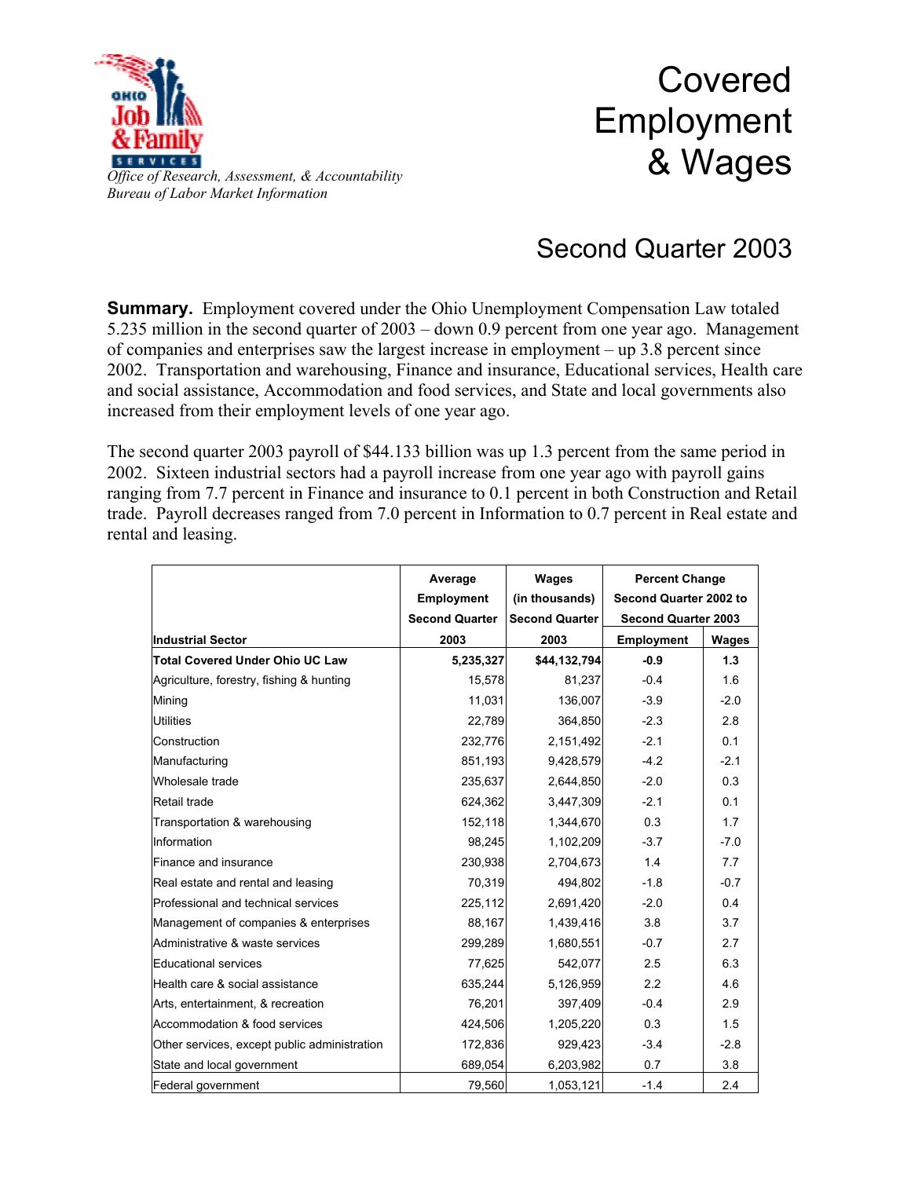

Covered Employment & Wages

## *Office of Research, Assessment, & Accountability Bureau of Labor Market Information*

## Second Quarter 2003

**Summary.** Employment covered under the Ohio Unemployment Compensation Law totaled 5.235 million in the second quarter of 2003 – down 0.9 percent from one year ago. Management of companies and enterprises saw the largest increase in employment – up 3.8 percent since 2002. Transportation and warehousing, Finance and insurance, Educational services, Health care and social assistance, Accommodation and food services, and State and local governments also increased from their employment levels of one year ago.

The second quarter 2003 payroll of \$44.133 billion was up 1.3 percent from the same period in 2002. Sixteen industrial sectors had a payroll increase from one year ago with payroll gains ranging from 7.7 percent in Finance and insurance to 0.1 percent in both Construction and Retail trade. Payroll decreases ranged from 7.0 percent in Information to 0.7 percent in Real estate and rental and leasing.

|                                              | Average               | Wages                 | <b>Percent Change</b><br>Second Quarter 2002 to<br><b>Second Quarter 2003</b> |        |
|----------------------------------------------|-----------------------|-----------------------|-------------------------------------------------------------------------------|--------|
|                                              | <b>Employment</b>     | (in thousands)        |                                                                               |        |
|                                              | <b>Second Quarter</b> | <b>Second Quarter</b> |                                                                               |        |
| <b>Industrial Sector</b>                     | 2003                  | 2003                  | <b>Employment</b>                                                             | Wages  |
| Total Covered Under Ohio UC Law              | 5,235,327             | \$44,132,794          | $-0.9$                                                                        | 1.3    |
| Agriculture, forestry, fishing & hunting     | 15,578                | 81,237                | $-0.4$                                                                        | 1.6    |
| Mining                                       | 11,031                | 136,007               | $-3.9$                                                                        | $-2.0$ |
| <b>Utilities</b>                             | 22,789                | 364,850               | $-2.3$                                                                        | 2.8    |
| Construction                                 | 232,776               | 2,151,492             | $-2.1$                                                                        | 0.1    |
| Manufacturing                                | 851,193               | 9,428,579             | $-4.2$                                                                        | $-2.1$ |
| Wholesale trade                              | 235,637               | 2,644,850             | $-2.0$                                                                        | 0.3    |
| Retail trade                                 | 624,362               | 3,447,309             | $-2.1$                                                                        | 0.1    |
| Transportation & warehousing                 | 152,118               | 1,344,670             | 0.3                                                                           | 1.7    |
| Information                                  | 98,245                | 1,102,209             | $-3.7$                                                                        | $-7.0$ |
| Finance and insurance                        | 230,938               | 2,704,673             | 1.4                                                                           | 7.7    |
| Real estate and rental and leasing           | 70,319                | 494,802               | $-1.8$                                                                        | $-0.7$ |
| Professional and technical services          | 225,112               | 2,691,420             | $-2.0$                                                                        | 0.4    |
| Management of companies & enterprises        | 88,167                | 1,439,416             | 3.8                                                                           | 3.7    |
| Administrative & waste services              | 299,289               | 1,680,551             | $-0.7$                                                                        | 2.7    |
| Educational services                         | 77,625                | 542,077               | 2.5                                                                           | 6.3    |
| Health care & social assistance              | 635,244               | 5,126,959             | 2.2                                                                           | 4.6    |
| Arts, entertainment, & recreation            | 76,201                | 397,409               | $-0.4$                                                                        | 2.9    |
| Accommodation & food services                | 424,506               | 1,205,220             | 0.3                                                                           | 1.5    |
| Other services, except public administration | 172,836               | 929,423               | $-3.4$                                                                        | $-2.8$ |
| State and local government                   | 689,054               | 6,203,982             | 0.7                                                                           | 3.8    |
| Federal government                           | 79,560                | 1,053,121             | $-1.4$                                                                        | 2.4    |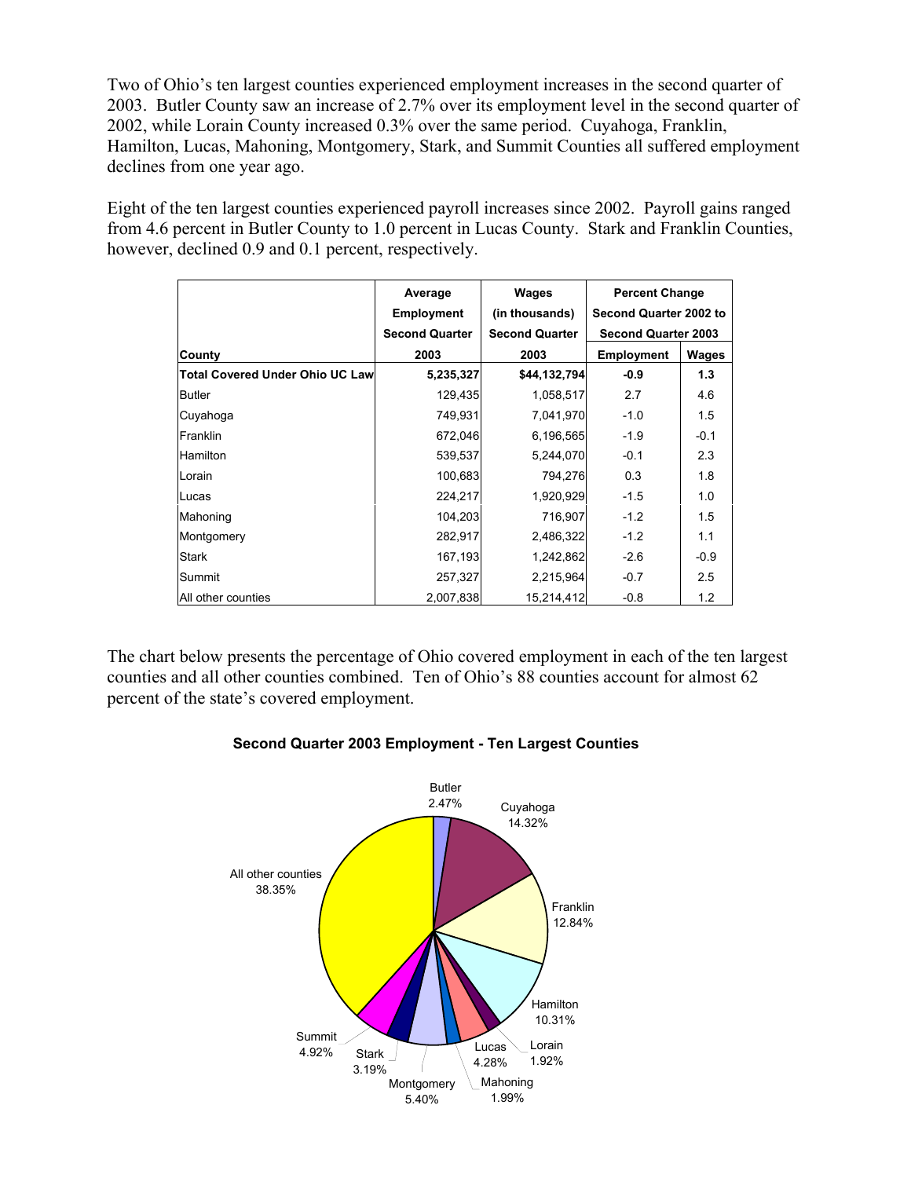Two of Ohio's ten largest counties experienced employment increases in the second quarter of 2003. Butler County saw an increase of 2.7% over its employment level in the second quarter of 2002, while Lorain County increased 0.3% over the same period. Cuyahoga, Franklin, Hamilton, Lucas, Mahoning, Montgomery, Stark, and Summit Counties all suffered employment declines from one year ago.

Eight of the ten largest counties experienced payroll increases since 2002. Payroll gains ranged from 4.6 percent in Butler County to 1.0 percent in Lucas County. Stark and Franklin Counties, however, declined 0.9 and 0.1 percent, respectively.

|                                         | Average               | Wages                 | <b>Percent Change</b><br>Second Quarter 2002 to |              |
|-----------------------------------------|-----------------------|-----------------------|-------------------------------------------------|--------------|
|                                         | <b>Employment</b>     | (in thousands)        |                                                 |              |
|                                         | <b>Second Quarter</b> | <b>Second Quarter</b> | <b>Second Quarter 2003</b>                      |              |
| County                                  | 2003                  | 2003                  | <b>Employment</b>                               | <b>Wages</b> |
| <b>Total Covered Under Ohio UC Lawl</b> | 5,235,327             | \$44,132,794          | $-0.9$                                          | 1.3          |
| Butler                                  | 129,435               | 1,058,517             | 2.7                                             | 4.6          |
| Cuyahoga                                | 749,931               | 7,041,970             | $-1.0$                                          | 1.5          |
| Franklin                                | 672,046               | 6,196,565             | $-1.9$                                          | $-0.1$       |
| Hamilton                                | 539,537               | 5,244,070             | $-0.1$                                          | 2.3          |
| Lorain                                  | 100,683               | 794,276               | 0.3                                             | 1.8          |
| Lucas                                   | 224,217               | 1,920,929             | $-1.5$                                          | 1.0          |
| Mahoning                                | 104,203               | 716,907               | $-1.2$                                          | 1.5          |
| Montgomery                              | 282,917               | 2,486,322             | $-1.2$                                          | 1.1          |
| Stark                                   | 167,193               | 1,242,862             | $-2.6$                                          | $-0.9$       |
| Summit                                  | 257,327               | 2,215,964             | $-0.7$                                          | 2.5          |
| All other counties                      | 2,007,838             | 15,214,412            | $-0.8$                                          | 1.2          |

The chart below presents the percentage of Ohio covered employment in each of the ten largest counties and all other counties combined. Ten of Ohio's 88 counties account for almost 62 percent of the state's covered employment.



## **Second Quarter 2003 Employment - Ten Largest Counties**